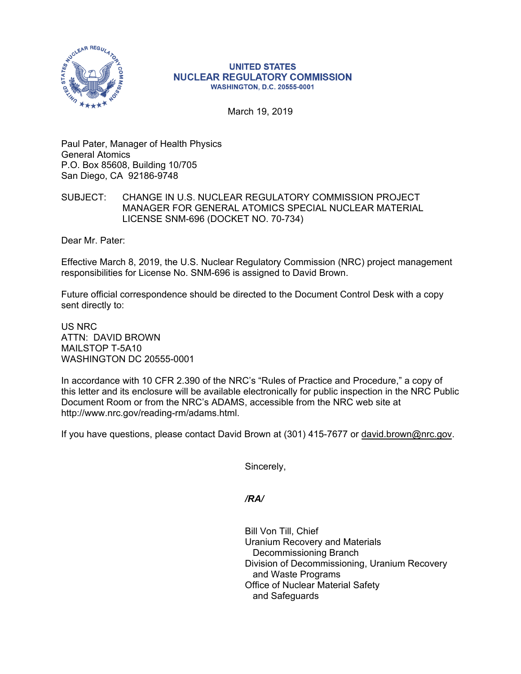

## **UNITED STATES NUCLEAR REGULATORY COMMISSION WASHINGTON, D.C. 20555-0001**

March 19, 2019

Paul Pater, Manager of Health Physics General Atomics P.O. Box 85608, Building 10/705 San Diego, CA 92186-9748

## SUBJECT: CHANGE IN U.S. NUCLEAR REGULATORY COMMISSION PROJECT MANAGER FOR GENERAL ATOMICS SPECIAL NUCLEAR MATERIAL LICENSE SNM-696 (DOCKET NO. 70-734)

Dear Mr. Pater:

Effective March 8, 2019, the U.S. Nuclear Regulatory Commission (NRC) project management responsibilities for License No. SNM-696 is assigned to David Brown.

Future official correspondence should be directed to the Document Control Desk with a copy sent directly to:

US NRC ATTN: DAVID BROWN MAILSTOP T-5A10 WASHINGTON DC 20555-0001

In accordance with 10 CFR 2.390 of the NRC's "Rules of Practice and Procedure," a copy of this letter and its enclosure will be available electronically for public inspection in the NRC Public Document Room or from the NRC's ADAMS, accessible from the NRC web site at http://www.nrc.gov/reading-rm/adams.html.

If you have questions, please contact David Brown at (301) 415-7677 or david.brown@nrc.gov.

Sincerely,

*/RA/* 

Bill Von Till, Chief Uranium Recovery and Materials Decommissioning Branch Division of Decommissioning, Uranium Recovery and Waste Programs Office of Nuclear Material Safety and Safeguards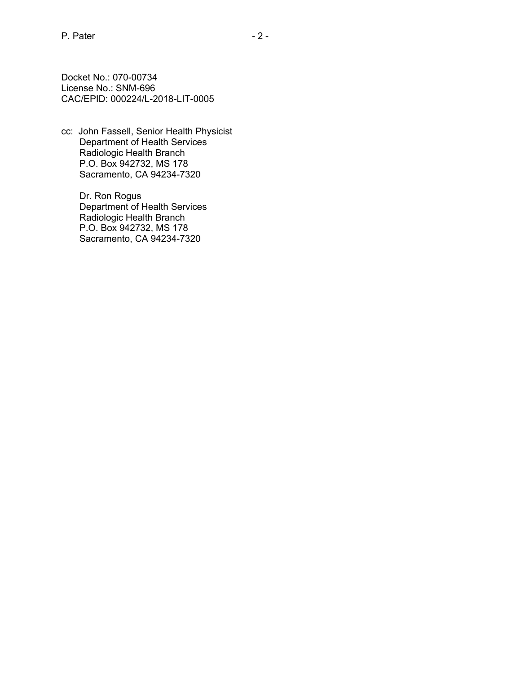Docket No.: 070-00734 License No.: SNM-696 CAC/EPID: 000224/L-2018-LIT-0005

cc: John Fassell, Senior Health Physicist Department of Health Services Radiologic Health Branch P.O. Box 942732, MS 178 Sacramento, CA 94234-7320

> Dr. Ron Rogus Department of Health Services Radiologic Health Branch P.O. Box 942732, MS 178 Sacramento, CA 94234-7320